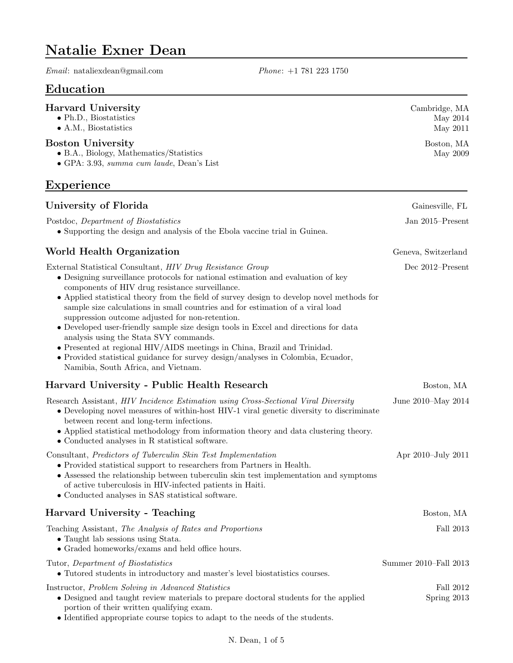# Natalie Exner Dean

Email: nataliexdean@gmail.com Phone: +1 781 223 1750

# Education

#### Harvard University

- Ph.D., Biostatistics
- A.M., Biostatistics

#### Boston University

- B.A., Biology, Mathematics/Statistics
- GPA: 3.93, summa cum laude, Dean's List

### Experience

#### University of Florida Gainesville, FL Postdoc, Department of Biostatistics • Supporting the design and analysis of the Ebola vaccine trial in Guinea. Jan 2015–Present World Health Organization Geneva, Switzerland External Statistical Consultant, HIV Drug Resistance Group • Designing surveillance protocols for national estimation and evaluation of key components of HIV drug resistance surveillance. • Applied statistical theory from the field of survey design to develop novel methods for sample size calculations in small countries and for estimation of a viral load suppression outcome adjusted for non-retention. • Developed user-friendly sample size design tools in Excel and directions for data analysis using the Stata SVY commands. • Presented at regional HIV/AIDS meetings in China, Brazil and Trinidad. • Provided statistical guidance for survey design/analyses in Colombia, Ecuador, Namibia, South Africa, and Vietnam. Dec 2012–Present Harvard University - Public Health Research Boston, MA Research Assistant, HIV Incidence Estimation using Cross-Sectional Viral Diversity • Developing novel measures of within-host HIV-1 viral genetic diversity to discriminate between recent and long-term infections. • Applied statistical methodology from information theory and data clustering theory. • Conducted analyses in R statistical software. June 2010–May 2014 Consultant, Predictors of Tuberculin Skin Test Implementation • Provided statistical support to researchers from Partners in Health. • Assessed the relationship between tuberculin skin test implementation and symptoms of active tuberculosis in HIV-infected patients in Haiti. • Conducted analyses in SAS statistical software. Apr 2010–July 2011 Harvard University - Teaching Boston, MA Teaching Assistant, The Analysis of Rates and Proportions • Taught lab sessions using Stata. • Graded homeworks/exams and held office hours. Fall 2013 Tutor, Department of Biostatistics • Tutored students in introductory and master's level biostatistics courses. Summer 2010–Fall 2013 Instructor, Problem Solving in Advanced Statistics • Designed and taught review materials to prepare doctoral students for the applied portion of their written qualifying exam. • Identified appropriate course topics to adapt to the needs of the students. Fall 2012 Spring 2013

Cambridge, MA May 2014 May 2011

> Boston, MA May 2009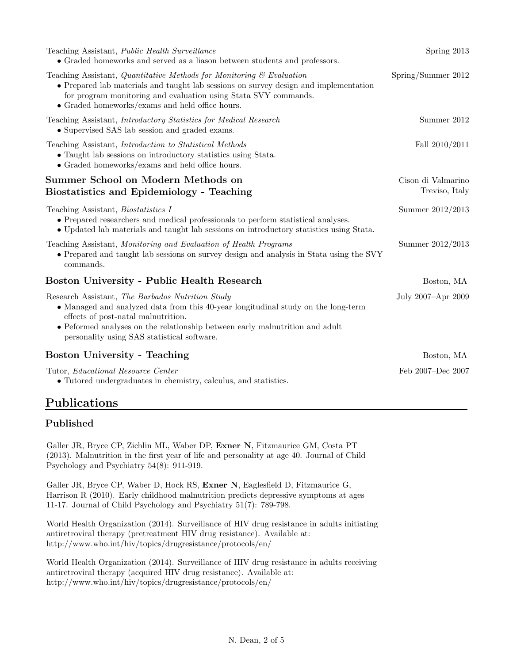| Teaching Assistant, Public Health Surveillance<br>$\bullet$ Graded homeworks and served as a liason between students and professors.                                                                                                                                                                        | Spring 2013                          |
|-------------------------------------------------------------------------------------------------------------------------------------------------------------------------------------------------------------------------------------------------------------------------------------------------------------|--------------------------------------|
| Teaching Assistant, Quantitative Methods for Monitoring $\mathcal C$ Evaluation<br>• Prepared lab materials and taught lab sessions on survey design and implementation<br>for program monitoring and evaluation using State SVY commands.<br>$\bullet$ Graded homeworks/exams and held office hours.       | Spring/Summer 2012                   |
| Teaching Assistant, <i>Introductory Statistics for Medical Research</i><br>• Supervised SAS lab session and graded exams.                                                                                                                                                                                   | Summer 2012                          |
| Teaching Assistant, <i>Introduction to Statistical Methods</i><br>• Taught lab sessions on introductory statistics using Stata.<br>$\bullet$ Graded homeworks/exams and held office hours.                                                                                                                  | Fall $2010/2011$                     |
| Summer School on Modern Methods on<br><b>Biostatistics and Epidemiology - Teaching</b>                                                                                                                                                                                                                      | Cison di Valmarino<br>Treviso, Italy |
| Teaching Assistant, <i>Biostatistics I</i><br>• Prepared researchers and medical professionals to perform statistical analyses.<br>• Updated lab materials and taught lab sessions on introductory statistics using Stata.                                                                                  | Summer 2012/2013                     |
| Teaching Assistant, Monitoring and Evaluation of Health Programs<br>• Prepared and taught lab sessions on survey design and analysis in Stata using the SVY<br>commands.                                                                                                                                    | Summer 2012/2013                     |
| Boston University - Public Health Research                                                                                                                                                                                                                                                                  | Boston, MA                           |
| Research Assistant, The Barbados Nutrition Study<br>• Managed and analyzed data from this 40-year longitudinal study on the long-term<br>effects of post-natal malnutrition.<br>• Peformed analyses on the relationship between early malnutrition and adult<br>personality using SAS statistical software. | July 2007-Apr 2009                   |
| <b>Boston University - Teaching</b>                                                                                                                                                                                                                                                                         | Boston, MA                           |
| Tutor, Educational Resource Center<br>• Tutored undergraduates in chemistry, calculus, and statistics.                                                                                                                                                                                                      | Feb 2007-Dec 2007                    |

# Publications

### Published

Galler JR, Bryce CP, Zichlin ML, Waber DP, Exner N, Fitzmaurice GM, Costa PT (2013). Malnutrition in the first year of life and personality at age 40. Journal of Child Psychology and Psychiatry 54(8): 911-919.

Galler JR, Bryce CP, Waber D, Hock RS, Exner N, Eaglesfield D, Fitzmaurice G, Harrison R (2010). Early childhood malnutrition predicts depressive symptoms at ages 11-17. Journal of Child Psychology and Psychiatry 51(7): 789-798.

World Health Organization (2014). Surveillance of HIV drug resistance in adults initiating antiretroviral therapy (pretreatment HIV drug resistance). Available at: http://www.who.int/hiv/topics/drugresistance/protocols/en/

World Health Organization (2014). Surveillance of HIV drug resistance in adults receiving antiretroviral therapy (acquired HIV drug resistance). Available at: http://www.who.int/hiv/topics/drugresistance/protocols/en/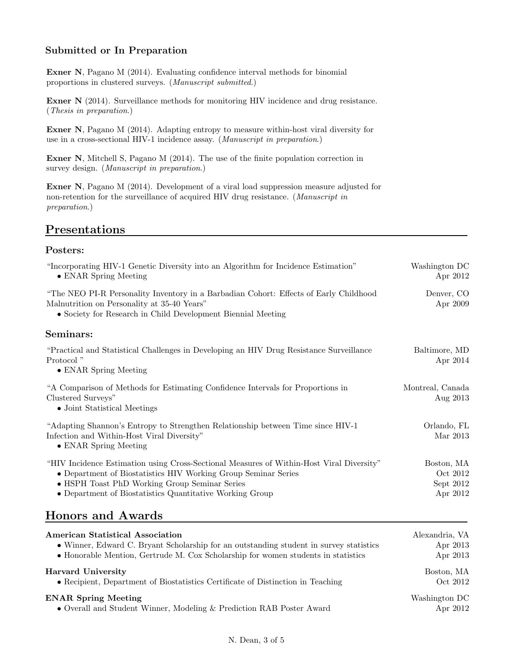### Submitted or In Preparation

Exner N, Pagano M (2014). Evaluating confidence interval methods for binomial proportions in clustered surveys. (Manuscript submitted.)

Exner N (2014). Surveillance methods for monitoring HIV incidence and drug resistance. (Thesis in preparation.)

Exner N, Pagano M (2014). Adapting entropy to measure within-host viral diversity for use in a cross-sectional HIV-1 incidence assay. (Manuscript in preparation.)

Exner N, Mitchell S, Pagano M (2014). The use of the finite population correction in survey design. (*Manuscript in preparation*.)

Exner N, Pagano M (2014). Development of a viral load suppression measure adjusted for non-retention for the surveillance of acquired HIV drug resistance. (Manuscript in preparation.)

# Presentations

#### Posters:

| "Incorporating HIV-1 Genetic Diversity into an Algorithm for Incidence Estimation"<br>• ENAR Spring Meeting                                                                                                                                                                     | Washington DC<br>Apr 2012                         |
|---------------------------------------------------------------------------------------------------------------------------------------------------------------------------------------------------------------------------------------------------------------------------------|---------------------------------------------------|
| "The NEO PI-R Personality Inventory in a Barbadian Cohort: Effects of Early Childhood<br>Malnutrition on Personality at 35-40 Years"<br>• Society for Research in Child Development Biennial Meeting                                                                            | Denver, CO<br>Apr 2009                            |
| Seminars:                                                                                                                                                                                                                                                                       |                                                   |
| "Practical and Statistical Challenges in Developing an HIV Drug Resistance Surveillance"<br>Protocol <sup>"</sup><br>• ENAR Spring Meeting                                                                                                                                      | Baltimore, MD<br>Apr 2014                         |
| "A Comparison of Methods for Estimating Confidence Intervals for Proportions in<br>Clustered Surveys"<br>• Joint Statistical Meetings                                                                                                                                           | Montreal, Canada<br>Aug 2013                      |
| "Adapting Shannon's Entropy to Strengthen Relationship between Time since HIV-1<br>Infection and Within-Host Viral Diversity"<br>• ENAR Spring Meeting                                                                                                                          | Orlando, FL<br>Mar 2013                           |
| "HIV Incidence Estimation using Cross-Sectional Measures of Within-Host Viral Diversity"<br>$\bullet$ Department of Biostatistics HIV Working Group Seminar Series<br>• HSPH Toast PhD Working Group Seminar Series<br>• Department of Biostatistics Quantitative Working Group | Boston, MA<br>Oct 2012<br>Sept $2012$<br>Apr 2012 |
| <b>Honors and Awards</b>                                                                                                                                                                                                                                                        |                                                   |

| American Statistical Association                                                       | Alexandria, VA |
|----------------------------------------------------------------------------------------|----------------|
| • Winner, Edward C. Bryant Scholarship for an outstanding student in survey statistics | Apr 2013       |
| • Honorable Mention, Gertrude M. Cox Scholarship for women students in statistics      | Apr 2013       |
| Harvard University                                                                     | Boston, MA     |
| • Recipient, Department of Biostatistics Certificate of Distinction in Teaching        | Oct 2012       |
| <b>ENAR Spring Meeting</b>                                                             | Washington DC  |
| $\bullet$ Overall and Student Winner, Modeling & Prediction RAB Poster Award           | Apr 2012       |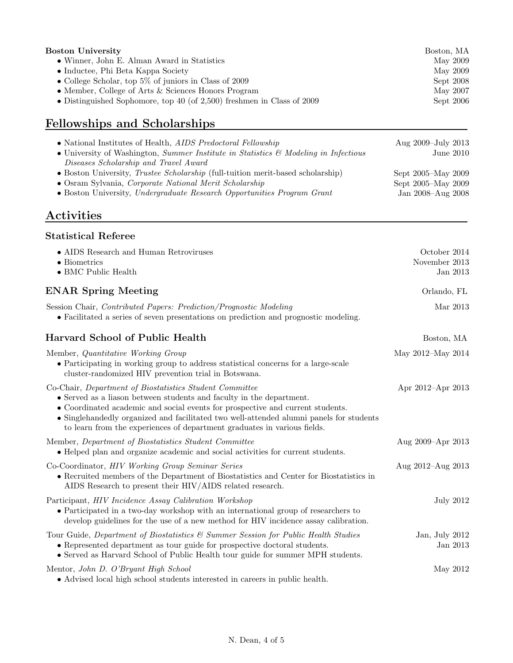| Boston University                                                         | Boston, MA |
|---------------------------------------------------------------------------|------------|
| • Winner, John E. Alman Award in Statistics                               | May 2009   |
| $\bullet$ Inductee, Phi Beta Kappa Society                                | May 2009   |
| • College Scholar, top $5\%$ of juniors in Class of 2009                  | Sept 2008  |
| • Member, College of Arts $&$ Sciences Honors Program                     | May 2007   |
| • Distinguished Sophomore, top 40 (of $2,500$ ) freshmen in Class of 2009 | Sept 2006  |
|                                                                           |            |

# Fellowships and Scholarships

| • National Institutes of Health, <i>AIDS Predoctoral Fellowship</i>                              | Aug 2009–July 2013 |
|--------------------------------------------------------------------------------------------------|--------------------|
| • University of Washington, Summer Institute in Statistics $\mathcal{B}'$ Modeling in Infectious | June $2010$        |
| Diseases Scholarship and Travel Award                                                            |                    |
| • Boston University, <i>Trustee Scholarship</i> (full-tuition merit-based scholarship)           | Sept 2005–May 2009 |
| • Osram Sylvania, Corporate National Merit Scholarship                                           | Sept 2005–May 2009 |
| • Boston University, Undergraduate Research Opportunities Program Grant                          | Jan 2008–Aug 2008  |
|                                                                                                  |                    |

# Activities

#### Statistical Referee

| • AIDS Research and Human Retroviruses<br>$\bullet$ Biometrics<br>$\bullet$ BMC Public Health                                                                                                                                                                                                                                                                                            | October 2014<br>November 2013<br>Jan 2013 |
|------------------------------------------------------------------------------------------------------------------------------------------------------------------------------------------------------------------------------------------------------------------------------------------------------------------------------------------------------------------------------------------|-------------------------------------------|
| <b>ENAR Spring Meeting</b>                                                                                                                                                                                                                                                                                                                                                               | Orlando, FL                               |
| Session Chair, Contributed Papers: Prediction/Prognostic Modeling<br>• Facilitated a series of seven presentations on prediction and prognostic modeling.                                                                                                                                                                                                                                | Mar 2013                                  |
| <b>Harvard School of Public Health</b>                                                                                                                                                                                                                                                                                                                                                   | Boston, MA                                |
| Member, Quantitative Working Group<br>• Participating in working group to address statistical concerns for a large-scale<br>cluster-randomized HIV prevention trial in Botswana.                                                                                                                                                                                                         | May 2012–May 2014                         |
| Co-Chair, Department of Biostatistics Student Committee<br>• Served as a liason between students and faculty in the department.<br>• Coordinated academic and social events for prospective and current students.<br>• Singlehandedly organized and facilitated two well-attended alumni panels for students<br>to learn from the experiences of department graduates in various fields. | Apr 2012-Apr 2013                         |
| Member, Department of Biostatistics Student Committee<br>• Helped plan and organize academic and social activities for current students.                                                                                                                                                                                                                                                 | Aug 2009–Apr 2013                         |
| Co-Coordinator, HIV Working Group Seminar Series<br>• Recruited members of the Department of Biostatistics and Center for Biostatistics in<br>AIDS Research to present their HIV/AIDS related research.                                                                                                                                                                                  | Aug 2012-Aug 2013                         |
| Participant, HIV Incidence Assay Calibration Workshop<br>• Participated in a two-day workshop with an international group of researchers to<br>develop guidelines for the use of a new method for HIV incidence assay calibration.                                                                                                                                                       | <b>July 2012</b>                          |
| Tour Guide, Department of Biostatistics & Summer Session for Public Health Studies<br>• Represented department as tour guide for prospective doctoral students.<br>• Served as Harvard School of Public Health tour guide for summer MPH students.                                                                                                                                       | Jan, July 2012<br>Jan 2013                |
| Mentor, John D. O'Bryant High School<br>• Advised local high school students interested in careers in public health.                                                                                                                                                                                                                                                                     | May 2012                                  |